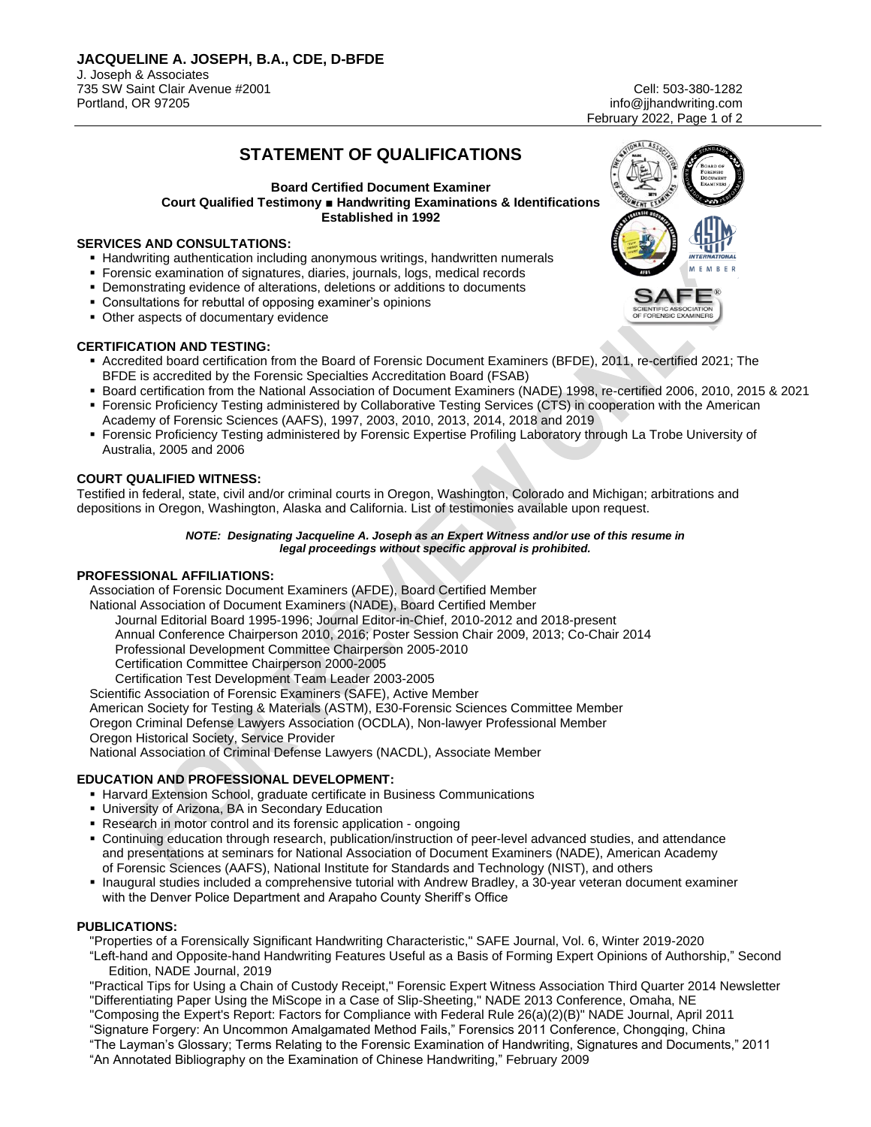info@jihandwriting.com February 2022, Page 1 of 2

# **STATEMENT OF QUALIFICATIONS**

#### **Board Certified Document Examiner Court Qualified Testimony ■ Handwriting Examinations & Identifications Established in 1992**

# **SERVICES AND CONSULTATIONS:**

- **EXTENT Handwriting authentication including anonymous writings, handwritten numerals**
- **EXECT EXAMINATION FOR SIGNATION** Forensic examination of signatures, diaries, journals, logs, medical records
- **Demonstrating evidence of alterations, deletions or additions to documents**
- Consultations for rebuttal of opposing examiner's opinions
- **Other aspects of documentary evidence**

### **CERTIFICATION AND TESTING:**

- Accredited board certification from the Board of Forensic Document Examiners (BFDE), 2011, re-certified 2021; The BFDE is accredited by the Forensic Specialties Accreditation Board (FSAB)
- Board certification from the National Association of Document Examiners (NADE) 1998, re-certified 2006, 2010, 2015 & 2021
- Forensic Proficiency Testing administered by Collaborative Testing Services (CTS) in cooperation with the American Academy of Forensic Sciences (AAFS), 1997, 2003, 2010, 2013, 2014, 2018 and 2019
- Forensic Proficiency Testing administered by Forensic Expertise Profiling Laboratory through La Trobe University of Australia, 2005 and 2006

### **COURT QUALIFIED WITNESS:**

Testified in federal, state, civil and/or criminal courts in Oregon, Washington, Colorado and Michigan; arbitrations and depositions in Oregon, Washington, Alaska and California. List of testimonies available upon request.

#### *NOTE: Designating Jacqueline A. Joseph as an Expert Witness and/or use of this resume in legal proceedings without specific approval is prohibited.*

### **PROFESSIONAL AFFILIATIONS:**

Association of Forensic Document Examiners (AFDE), Board Certified Member National Association of Document Examiners (NADE), Board Certified Member Journal Editorial Board 1995-1996; Journal Editor-in-Chief, 2010-2012 and 2018-present Annual Conference Chairperson 2010, 2016; Poster Session Chair 2009, 2013; Co-Chair 2014 Professional Development Committee Chairperson 2005-2010 Certification Committee Chairperson 2000-2005 Certification Test Development Team Leader 2003-2005 Scientific Association of Forensic Examiners (SAFE), Active Member

American Society for Testing & Materials (ASTM), E30-Forensic Sciences Committee Member

Oregon Criminal Defense Lawyers Association (OCDLA), Non-lawyer Professional Member

Oregon Historical Society, Service Provider

National Association of Criminal Defense Lawyers (NACDL), Associate Member

# **EDUCATION AND PROFESSIONAL DEVELOPMENT:**

- **EXTENSION EXTENSION School, graduate certificate in Business Communications**
- **.** University of Arizona, BA in Secondary Education
- Research in motor control and its forensic application ongoing
- Continuing education through research, publication/instruction of peer-level advanced studies, and attendance and presentations at seminars for National Association of Document Examiners (NADE), American Academy of Forensic Sciences (AAFS), National Institute for Standards and Technology (NIST), and others
- Inaugural studies included a comprehensive tutorial with Andrew Bradley, a 30-year veteran document examiner with the Denver Police Department and Arapaho County Sheriff's Office

### **PUBLICATIONS:**

"Properties of a Forensically Significant Handwriting Characteristic," SAFE Journal, Vol. 6, Winter 2019-2020

"Left-hand and Opposite-hand Handwriting Features Useful as a Basis of Forming Expert Opinions of Authorship," Second Edition, NADE Journal, 2019

"Practical Tips for Using a Chain of Custody Receipt," Forensic Expert Witness Association Third Quarter 2014 Newsletter "Differentiating Paper Using the MiScope in a Case of Slip-Sheeting," NADE 2013 Conference, Omaha, NE

"Composing the Expert's Report: Factors for Compliance with Federal Rule 26(a)(2)(B)" NADE Journal, April 2011

"Signature Forgery: An Uncommon Amalgamated Method Fails," Forensics 2011 Conference, Chongqing, China

"The Layman's Glossary; Terms Relating to the Forensic Examination of Handwriting, Signatures and Documents," 2011

"An Annotated Bibliography on the Examination of Chinese Handwriting," February 2009